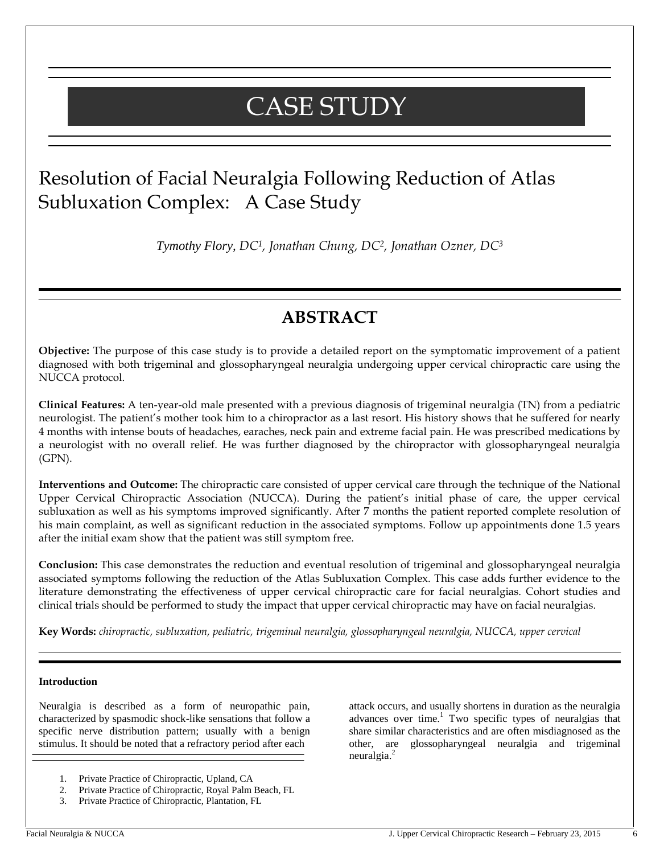# CASE STUDY

## Resolution of Facial Neuralgia Following Reduction of Atlas Subluxation Complex: A Case Study

*Tymothy Flory, DC1, Jonathan Chung, DC2, Jonathan Ozner, DC<sup>3</sup>*

## **ABSTRACT**

**Objective:** The purpose of this case study is to provide a detailed report on the symptomatic improvement of a patient diagnosed with both trigeminal and glossopharyngeal neuralgia undergoing upper cervical chiropractic care using the NUCCA protocol.

**Clinical Features:** A ten-year-old male presented with a previous diagnosis of trigeminal neuralgia (TN) from a pediatric neurologist. The patient's mother took him to a chiropractor as a last resort. His history shows that he suffered for nearly 4 months with intense bouts of headaches, earaches, neck pain and extreme facial pain. He was prescribed medications by a neurologist with no overall relief. He was further diagnosed by the chiropractor with glossopharyngeal neuralgia (GPN).

**Interventions and Outcome:** The chiropractic care consisted of upper cervical care through the technique of the National Upper Cervical Chiropractic Association (NUCCA). During the patient's initial phase of care, the upper cervical subluxation as well as his symptoms improved significantly. After 7 months the patient reported complete resolution of his main complaint, as well as significant reduction in the associated symptoms. Follow up appointments done 1.5 years after the initial exam show that the patient was still symptom free.

**Conclusion:** This case demonstrates the reduction and eventual resolution of trigeminal and glossopharyngeal neuralgia associated symptoms following the reduction of the Atlas Subluxation Complex. This case adds further evidence to the literature demonstrating the effectiveness of upper cervical chiropractic care for facial neuralgias. Cohort studies and clinical trials should be performed to study the impact that upper cervical chiropractic may have on facial neuralgias.

**Key Words:** *chiropractic, subluxation, pediatric, trigeminal neuralgia, glossopharyngeal neuralgia, NUCCA, upper cervical*

#### **Introduction**

Neuralgia is described as a form of neuropathic pain, characterized by spasmodic shock-like sensations that follow a specific nerve distribution pattern; usually with a benign stimulus. It should be noted that a refractory period after each

- 1. Private Practice of Chiropractic, Upland, CA
- 2. Private Practice of Chiropractic, Royal Palm Beach, FL
- 3. Private Practice of Chiropractic, Plantation, FL

attack occurs, and usually shortens in duration as the neuralgia advances over time.<sup>1</sup> Two specific types of neuralgias that share similar characteristics and are often misdiagnosed as the other, are glossopharyngeal neuralgia and trigeminal neuralgia.<sup>2</sup>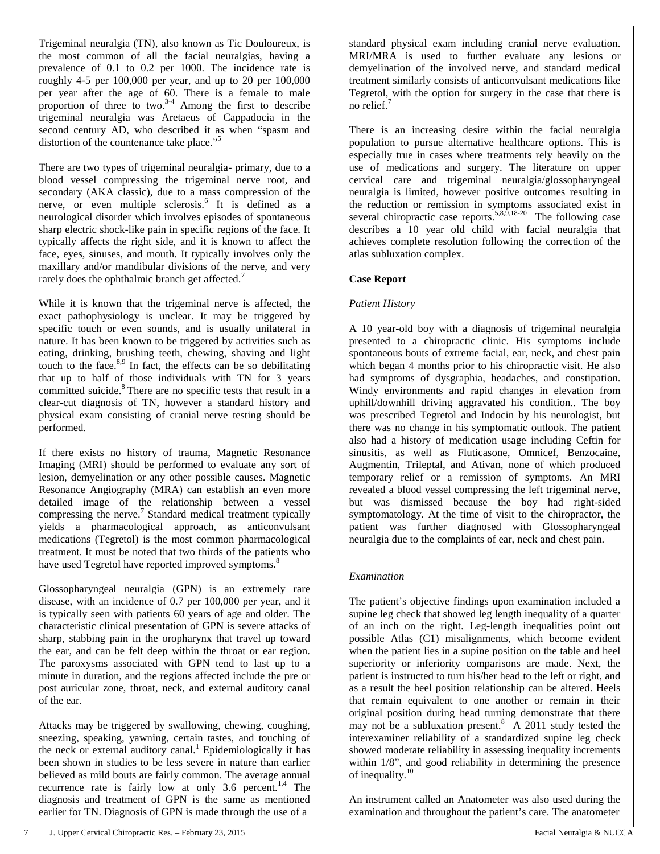Trigeminal neuralgia (TN), also known as Tic Douloureux, is the most common of all the facial neuralgias, having a prevalence of 0.1 to 0.2 per 1000. The incidence rate is roughly 4-5 per 100,000 per year, and up to 20 per 100,000 per year after the age of 60. There is a female to male proportion of three to two. $3-4$  Among the first to describe trigeminal neuralgia was Aretaeus of Cappadocia in the second century AD, who described it as when "spasm and distortion of the countenance take place."<sup>5</sup>

There are two types of trigeminal neuralgia- primary, due to a blood vessel compressing the trigeminal nerve root, and secondary (AKA classic), due to a mass compression of the nerve, or even multiple sclerosis.<sup>6</sup> It is defined as a neurological disorder which involves episodes of spontaneous sharp electric shock-like pain in specific regions of the face. It typically affects the right side, and it is known to affect the face, eyes, sinuses, and mouth. It typically involves only the maxillary and/or mandibular divisions of the nerve, and very rarely does the ophthalmic branch get affected.<sup>7</sup>

While it is known that the trigeminal nerve is affected, the exact pathophysiology is unclear. It may be triggered by specific touch or even sounds, and is usually unilateral in nature. It has been known to be triggered by activities such as eating, drinking, brushing teeth, chewing, shaving and light touch to the face. $8.9$  In fact, the effects can be so debilitating that up to half of those individuals with TN for 3 years committed suicide.<sup>8</sup> There are no specific tests that result in a clear-cut diagnosis of TN, however a standard history and physical exam consisting of cranial nerve testing should be performed.

If there exists no history of trauma, Magnetic Resonance Imaging (MRI) should be performed to evaluate any sort of lesion, demyelination or any other possible causes. Magnetic Resonance Angiography (MRA) can establish an even more detailed image of the relationship between a vessel compressing the nerve.<sup>7</sup> Standard medical treatment typically yields a pharmacological approach, as anticonvulsant medications (Tegretol) is the most common pharmacological treatment. It must be noted that two thirds of the patients who have used Tegretol have reported improved symptoms.<sup>8</sup>

Glossopharyngeal neuralgia (GPN) is an extremely rare disease, with an incidence of 0.7 per 100,000 per year, and it is typically seen with patients 60 years of age and older. The characteristic clinical presentation of GPN is severe attacks of sharp, stabbing pain in the oropharynx that travel up toward the ear, and can be felt deep within the throat or ear region. The paroxysms associated with GPN tend to last up to a minute in duration, and the regions affected include the pre or post auricular zone, throat, neck, and external auditory canal of the ear.

Attacks may be triggered by swallowing, chewing, coughing, sneezing, speaking, yawning, certain tastes, and touching of the neck or external auditory canal.<sup>1</sup> Epidemiologically it has been shown in studies to be less severe in nature than earlier believed as mild bouts are fairly common. The average annual recurrence rate is fairly low at only 3.6 percent.<sup>1,4</sup> The diagnosis and treatment of GPN is the same as mentioned earlier for TN. Diagnosis of GPN is made through the use of a

standard physical exam including cranial nerve evaluation. MRI/MRA is used to further evaluate any lesions or demyelination of the involved nerve, and standard medical treatment similarly consists of anticonvulsant medications like Tegretol, with the option for surgery in the case that there is no relief. $<sup>7</sup>$ </sup>

There is an increasing desire within the facial neuralgia population to pursue alternative healthcare options. This is especially true in cases where treatments rely heavily on the use of medications and surgery. The literature on upper cervical care and trigeminal neuralgia/glossopharyngeal neuralgia is limited, however positive outcomes resulting in the reduction or remission in symptoms associated exist in several chiropractic case reports.<sup>5,8,9,18-20</sup> The following case describes a 10 year old child with facial neuralgia that achieves complete resolution following the correction of the atlas subluxation complex.

#### **Case Report**

#### *Patient History*

A 10 year-old boy with a diagnosis of trigeminal neuralgia presented to a chiropractic clinic. His symptoms include spontaneous bouts of extreme facial, ear, neck, and chest pain which began 4 months prior to his chiropractic visit. He also had symptoms of dysgraphia, headaches, and constipation. Windy environments and rapid changes in elevation from uphill/downhill driving aggravated his condition.. The boy was prescribed Tegretol and Indocin by his neurologist, but there was no change in his symptomatic outlook. The patient also had a history of medication usage including Ceftin for sinusitis, as well as Fluticasone, Omnicef, Benzocaine, Augmentin, Trileptal, and Ativan, none of which produced temporary relief or a remission of symptoms. An MRI revealed a blood vessel compressing the left trigeminal nerve, but was dismissed because the boy had right-sided symptomatology. At the time of visit to the chiropractor, the patient was further diagnosed with Glossopharyngeal neuralgia due to the complaints of ear, neck and chest pain.

#### *Examination*

The patient's objective findings upon examination included a supine leg check that showed leg length inequality of a quarter of an inch on the right. Leg-length inequalities point out possible Atlas (C1) misalignments, which become evident when the patient lies in a supine position on the table and heel superiority or inferiority comparisons are made. Next, the patient is instructed to turn his/her head to the left or right, and as a result the heel position relationship can be altered. Heels that remain equivalent to one another or remain in their original position during head turning demonstrate that there may not be a subluxation present. $\overline{8}$  A 2011 study tested the interexaminer reliability of a standardized supine leg check showed moderate reliability in assessing inequality increments within 1/8", and good reliability in determining the presence of inequality.<sup>10</sup>

An instrument called an Anatometer was also used during the examination and throughout the patient's care. The anatometer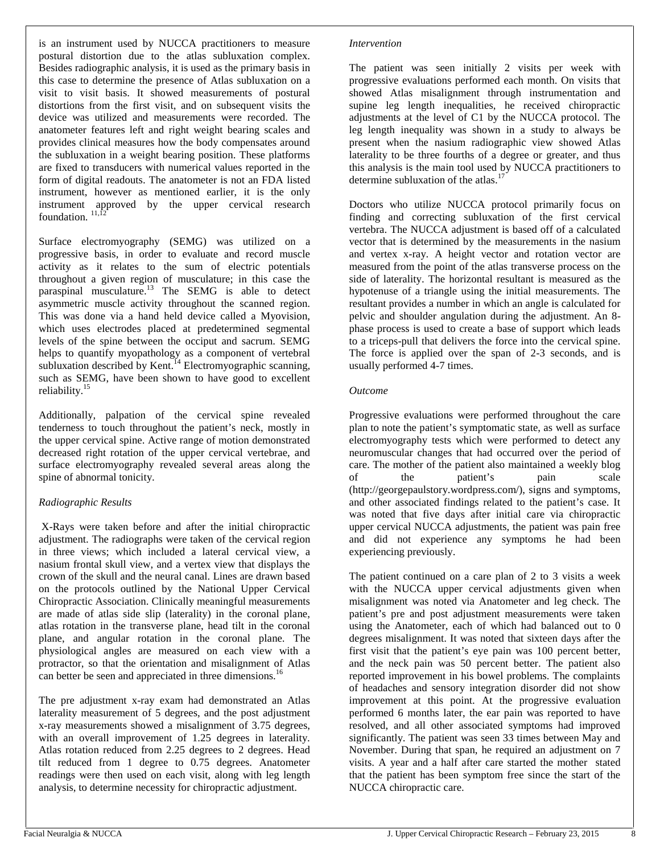is an instrument used by NUCCA practitioners to measure postural distortion due to the atlas subluxation complex. Besides radiographic analysis, it is used as the primary basis in this case to determine the presence of Atlas subluxation on a visit to visit basis. It showed measurements of postural distortions from the first visit, and on subsequent visits the device was utilized and measurements were recorded. The anatometer features left and right weight bearing scales and provides clinical measures how the body compensates around the subluxation in a weight bearing position. These platforms are fixed to transducers with numerical values reported in the form of digital readouts. The anatometer is not an FDA listed instrument, however as mentioned earlier, it is the only instrument approved by the upper cervical research foundation.  $11,12$ 

Surface electromyography (SEMG) was utilized on a progressive basis, in order to evaluate and record muscle activity as it relates to the sum of electric potentials throughout a given region of musculature; in this case the paraspinal musculature.<sup>13</sup> The SEMG is able to detect asymmetric muscle activity throughout the scanned region. This was done via a hand held device called a Myovision, which uses electrodes placed at predetermined segmental levels of the spine between the occiput and sacrum. SEMG helps to quantify myopathology as a component of vertebral subluxation described by Kent.<sup>14</sup> Electromyographic scanning, such as SEMG, have been shown to have good to excellent reliability.<sup>15</sup>

Additionally, palpation of the cervical spine revealed tenderness to touch throughout the patient's neck, mostly in the upper cervical spine. Active range of motion demonstrated decreased right rotation of the upper cervical vertebrae, and surface electromyography revealed several areas along the spine of abnormal tonicity.

#### *Radiographic Results*

X-Rays were taken before and after the initial chiropractic adjustment. The radiographs were taken of the cervical region in three views; which included a lateral cervical view, a nasium frontal skull view, and a vertex view that displays the crown of the skull and the neural canal. Lines are drawn based on the protocols outlined by the National Upper Cervical Chiropractic Association. Clinically meaningful measurements are made of atlas side slip (laterality) in the coronal plane, atlas rotation in the transverse plane, head tilt in the coronal plane, and angular rotation in the coronal plane. The physiological angles are measured on each view with a protractor, so that the orientation and misalignment of Atlas can better be seen and appreciated in three dimensions.<sup>16</sup>

The pre adjustment x-ray exam had demonstrated an Atlas laterality measurement of 5 degrees, and the post adjustment x-ray measurements showed a misalignment of 3.75 degrees, with an overall improvement of 1.25 degrees in laterality. Atlas rotation reduced from 2.25 degrees to 2 degrees. Head tilt reduced from 1 degree to 0.75 degrees. Anatometer readings were then used on each visit, along with leg length analysis, to determine necessity for chiropractic adjustment.

#### *Intervention*

The patient was seen initially 2 visits per week with progressive evaluations performed each month. On visits that showed Atlas misalignment through instrumentation and supine leg length inequalities, he received chiropractic adjustments at the level of C1 by the NUCCA protocol. The leg length inequality was shown in a study to always be present when the nasium radiographic view showed Atlas laterality to be three fourths of a degree or greater, and thus this analysis is the main tool used by NUCCA practitioners to determine subluxation of the atlas.<sup>17</sup>

Doctors who utilize NUCCA protocol primarily focus on finding and correcting subluxation of the first cervical vertebra. The NUCCA adjustment is based off of a calculated vector that is determined by the measurements in the nasium and vertex x-ray. A height vector and rotation vector are measured from the point of the atlas transverse process on the side of laterality. The horizontal resultant is measured as the hypotenuse of a triangle using the initial measurements. The resultant provides a number in which an angle is calculated for pelvic and shoulder angulation during the adjustment. An 8 phase process is used to create a base of support which leads to a triceps-pull that delivers the force into the cervical spine. The force is applied over the span of 2-3 seconds, and is usually performed 4-7 times.

#### *Outcome*

Progressive evaluations were performed throughout the care plan to note the patient's symptomatic state, as well as surface electromyography tests which were performed to detect any neuromuscular changes that had occurred over the period of care. The mother of the patient also maintained a weekly blog of the patient's pain scale (http://georgepaulstory.wordpress.com/), signs and symptoms, and other associated findings related to the patient's case. It was noted that five days after initial care via chiropractic upper cervical NUCCA adjustments, the patient was pain free and did not experience any symptoms he had been experiencing previously.

The patient continued on a care plan of 2 to 3 visits a week with the NUCCA upper cervical adjustments given when misalignment was noted via Anatometer and leg check. The patient's pre and post adjustment measurements were taken using the Anatometer, each of which had balanced out to 0 degrees misalignment. It was noted that sixteen days after the first visit that the patient's eye pain was 100 percent better, and the neck pain was 50 percent better. The patient also reported improvement in his bowel problems. The complaints of headaches and sensory integration disorder did not show improvement at this point. At the progressive evaluation performed 6 months later, the ear pain was reported to have resolved, and all other associated symptoms had improved significantly. The patient was seen 33 times between May and November. During that span, he required an adjustment on 7 visits. A year and a half after care started the mother stated that the patient has been symptom free since the start of the NUCCA chiropractic care.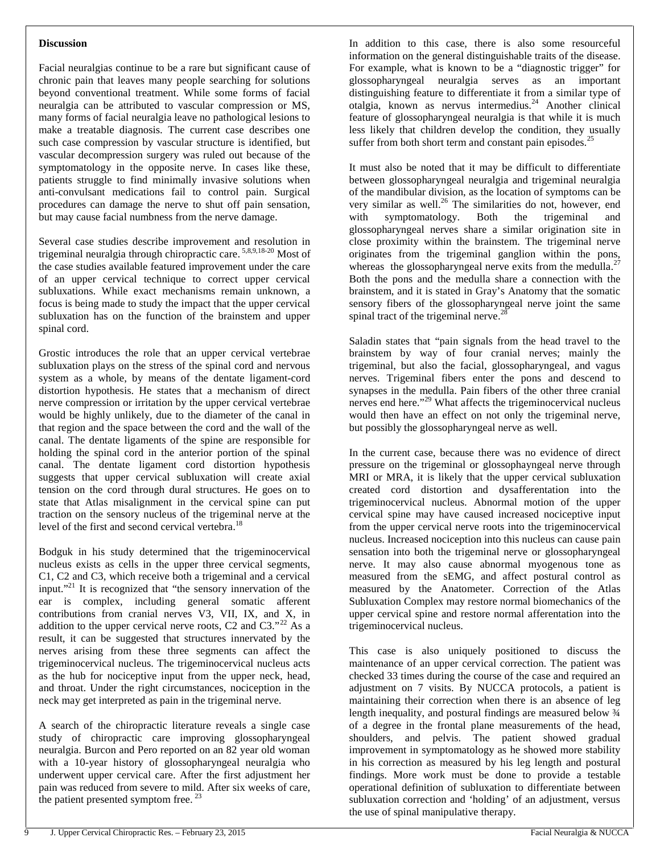#### **Discussion**

Facial neuralgias continue to be a rare but significant cause of chronic pain that leaves many people searching for solutions beyond conventional treatment. While some forms of facial neuralgia can be attributed to vascular compression or MS, many forms of facial neuralgia leave no pathological lesions to make a treatable diagnosis. The current case describes one such case compression by vascular structure is identified, but vascular decompression surgery was ruled out because of the symptomatology in the opposite nerve. In cases like these, patients struggle to find minimally invasive solutions when anti-convulsant medications fail to control pain. Surgical procedures can damage the nerve to shut off pain sensation, but may cause facial numbness from the nerve damage.

Several case studies describe improvement and resolution in trigeminal neuralgia through chiropractic care. 5,8,9,18-20 Most of the case studies available featured improvement under the care of an upper cervical technique to correct upper cervical subluxations. While exact mechanisms remain unknown, a focus is being made to study the impact that the upper cervical subluxation has on the function of the brainstem and upper spinal cord.

Grostic introduces the role that an upper cervical vertebrae subluxation plays on the stress of the spinal cord and nervous system as a whole, by means of the dentate ligament-cord distortion hypothesis. He states that a mechanism of direct nerve compression or irritation by the upper cervical vertebrae would be highly unlikely, due to the diameter of the canal in that region and the space between the cord and the wall of the canal. The dentate ligaments of the spine are responsible for holding the spinal cord in the anterior portion of the spinal canal. The dentate ligament cord distortion hypothesis suggests that upper cervical subluxation will create axial tension on the cord through dural structures. He goes on to state that Atlas misalignment in the cervical spine can put traction on the sensory nucleus of the trigeminal nerve at the level of the first and second cervical vertebra.<sup>18</sup>

Bodguk in his study determined that the trigeminocervical nucleus exists as cells in the upper three cervical segments, C1, C2 and C3, which receive both a trigeminal and a cervical input."<sup>21</sup> It is recognized that "the sensory innervation of the ear is complex, including general somatic afferent contributions from cranial nerves V3, VII, IX, and X, in addition to the upper cervical nerve roots, C2 and C3." $^{22}$  As a result, it can be suggested that structures innervated by the nerves arising from these three segments can affect the trigeminocervical nucleus. The trigeminocervical nucleus acts as the hub for nociceptive input from the upper neck, head, and throat. Under the right circumstances, nociception in the neck may get interpreted as pain in the trigeminal nerve.

A search of the chiropractic literature reveals a single case study of chiropractic care improving glossopharyngeal neuralgia. Burcon and Pero reported on an 82 year old woman with a 10-year history of glossopharyngeal neuralgia who underwent upper cervical care. After the first adjustment her pain was reduced from severe to mild. After six weeks of care, the patient presented symptom free.  $23$ 

In addition to this case, there is also some resourceful information on the general distinguishable traits of the disease. For example, what is known to be a "diagnostic trigger" for glossopharyngeal neuralgia serves as an important distinguishing feature to differentiate it from a similar type of otalgia, known as nervus intermedius.<sup>24</sup> Another clinical feature of glossopharyngeal neuralgia is that while it is much less likely that children develop the condition, they usually suffer from both short term and constant pain episodes.<sup>25</sup>

It must also be noted that it may be difficult to differentiate between glossopharyngeal neuralgia and trigeminal neuralgia of the mandibular division, as the location of symptoms can be very similar as well. $^{26}$  The similarities do not, however, end with symptomatology. Both the trigeminal and glossopharyngeal nerves share a similar origination site in close proximity within the brainstem. The trigeminal nerve originates from the trigeminal ganglion within the pons, whereas the glossopharyngeal nerve exits from the medulla.<sup>27</sup> Both the pons and the medulla share a connection with the brainstem, and it is stated in Gray's Anatomy that the somatic sensory fibers of the glossopharyngeal nerve joint the same spinal tract of the trigeminal nerve.<sup>28</sup>

Saladin states that "pain signals from the head travel to the brainstem by way of four cranial nerves; mainly the trigeminal, but also the facial, glossopharyngeal, and vagus nerves. Trigeminal fibers enter the pons and descend to synapses in the medulla. Pain fibers of the other three cranial nerves end here."<sup>29</sup> What affects the trigeminocervical nucleus would then have an effect on not only the trigeminal nerve, but possibly the glossopharyngeal nerve as well.

In the current case, because there was no evidence of direct pressure on the trigeminal or glossophayngeal nerve through MRI or MRA, it is likely that the upper cervical subluxation created cord distortion and dysafferentation into the trigeminocervical nucleus. Abnormal motion of the upper cervical spine may have caused increased nociceptive input from the upper cervical nerve roots into the trigeminocervical nucleus. Increased nociception into this nucleus can cause pain sensation into both the trigeminal nerve or glossopharyngeal nerve. It may also cause abnormal myogenous tone as measured from the sEMG, and affect postural control as measured by the Anatometer. Correction of the Atlas Subluxation Complex may restore normal biomechanics of the upper cervical spine and restore normal afferentation into the trigeminocervical nucleus.

This case is also uniquely positioned to discuss the maintenance of an upper cervical correction. The patient was checked 33 times during the course of the case and required an adjustment on 7 visits. By NUCCA protocols, a patient is maintaining their correction when there is an absence of leg length inequality, and postural findings are measured below ¾ of a degree in the frontal plane measurements of the head, shoulders, and pelvis. The patient showed gradual improvement in symptomatology as he showed more stability in his correction as measured by his leg length and postural findings. More work must be done to provide a testable operational definition of subluxation to differentiate between subluxation correction and 'holding' of an adjustment, versus the use of spinal manipulative therapy.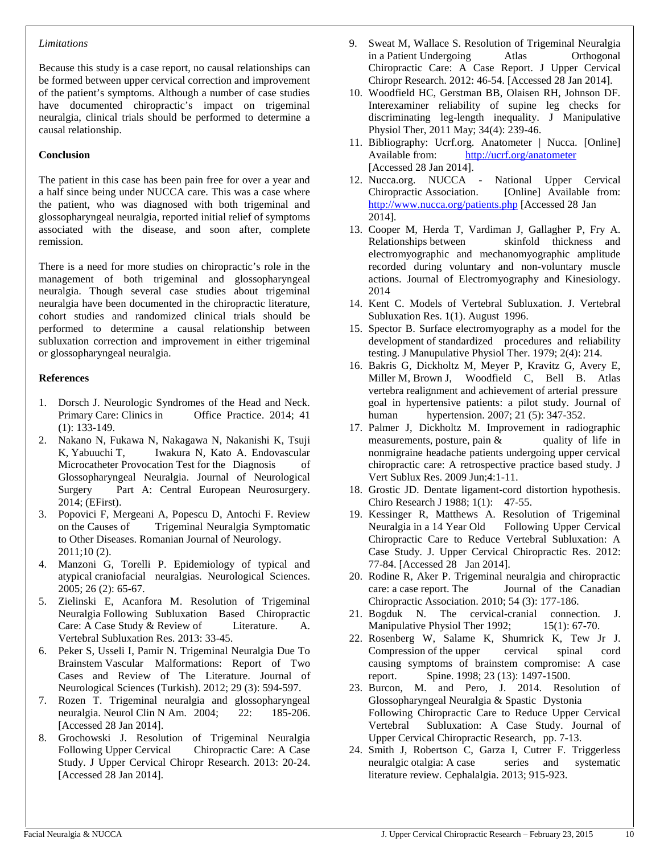#### *Limitations*

Because this study is a case report, no causal relationships can be formed between upper cervical correction and improvement of the patient's symptoms. Although a number of case studies have documented chiropractic's impact on trigeminal neuralgia, clinical trials should be performed to determine a causal relationship.

#### **Conclusion**

The patient in this case has been pain free for over a year and a half since being under NUCCA care. This was a case where the patient, who was diagnosed with both trigeminal and glossopharyngeal neuralgia, reported initial relief of symptoms associated with the disease, and soon after, complete remission.

There is a need for more studies on chiropractic's role in the management of both trigeminal and glossopharyngeal neuralgia. Though several case studies about trigeminal neuralgia have been documented in the chiropractic literature, cohort studies and randomized clinical trials should be performed to determine a causal relationship between subluxation correction and improvement in either trigeminal or glossopharyngeal neuralgia.

#### **References**

- 1. Dorsch J. Neurologic Syndromes of the Head and Neck. Primary Care: Clinics in Office Practice. 2014; 41 (1): 133-149.
- 2. Nakano N, Fukawa N, Nakagawa N, Nakanishi K, Tsuji K, Yabuuchi T, Iwakura N, Kato A, Endovascular Microcatheter Provocation Test for the Diagnosis of Glossopharyngeal Neuralgia. Journal of Neurological Surgery Part A: Central European Neurosurgery. 2014; (EFirst).
- 3. Popovici F, Mergeani A, Popescu D, Antochi F. Review on the Causes of Trigeminal Neuralgia Symptomatic to Other Diseases. Romanian Journal of Neurology. 2011;10 (2).
- 4. Manzoni G, Torelli P. Epidemiology of typical and atypical craniofacial neuralgias. Neurological Sciences. 2005; 26 (2): 65-67.
- 5. Zielinski E, Acanfora M. Resolution of Trigeminal Neuralgia Following Subluxation Based Chiropractic Care: A Case Study & Review of Literature. A. Vertebral Subluxation Res. 2013: 33-45.
- 6. Peker S, Usseli I, Pamir N. Trigeminal Neuralgia Due To Brainstem Vascular Malformations: Report of Two Cases and Review of The Literature. Journal of Neurological Sciences (Turkish). 2012; 29 (3): 594-597.
- 7. Rozen T. Trigeminal neuralgia and glossopharyngeal neuralgia. Neurol Clin N Am. 2004; 22: 185-206. [Accessed 28 Jan 2014].
- 8. Grochowski J. Resolution of Trigeminal Neuralgia Following Upper Cervical Chiropractic Care: A Case Study. J Upper Cervical Chiropr Research. 2013: 20-24. [Accessed 28 Jan 2014].
- 9. Sweat M, Wallace S. Resolution of Trigeminal Neuralgia in a Patient Undergoing Atlas Orthogonal Chiropractic Care: A Case Report. J Upper Cervical Chiropr Research. 2012: 46-54. [Accessed 28 Jan 2014].
- 10. Woodfield HC, Gerstman BB, Olaisen RH, Johnson DF. Interexaminer reliability of supine leg checks for discriminating leg-length inequality. J Manipulative Physiol Ther, 2011 May; 34(4): 239-46.
- 11. Bibliography: Ucrf.org. Anatometer | Nucca. [Online] Available from: http://ucrf.org/anatometer [Accessed 28 Jan 2014].
- 12. Nucca.org. NUCCA National Upper Cervical Chiropractic Association. [Online] Available from: http://www.nucca.org/patients.php [Accessed 28 Jan 2014].
- 13. Cooper M, Herda T, Vardiman J, Gallagher P, Fry A. Relationships between skinfold thickness and electromyographic and mechanomyographic amplitude recorded during voluntary and non-voluntary muscle actions. Journal of Electromyography and Kinesiology. 2014
- 14. Kent C. Models of Vertebral Subluxation. J. Vertebral Subluxation Res. 1(1). August 1996.
- 15. Spector B. Surface electromyography as a model for the development of standardized procedures and reliability testing. J Manupulative Physiol Ther. 1979; 2(4): 214.
- 16. Bakris G, Dickholtz M, Meyer P, Kravitz G, Avery E, Miller M, Brown J, Woodfield C, Bell B. Atlas vertebra realignment and achievement of arterial pressure goal in hypertensive patients: a pilot study. Journal of human hypertension. 2007; 21 (5): 347-352.
- 17. Palmer J, Dickholtz M. Improvement in radiographic measurements, posture, pain & quality of life in measurements, posture, pain  $\&$ nonmigraine headache patients undergoing upper cervical chiropractic care: A retrospective practice based study. J Vert Sublux Res. 2009 Jun;4:1-11.
- 18. Grostic JD. Dentate ligament-cord distortion hypothesis. Chiro Research J 1988; 1(1): 47-55.
- 19. Kessinger R, Matthews A. Resolution of Trigeminal Neuralgia in a 14 Year Old Following Upper Cervical Chiropractic Care to Reduce Vertebral Subluxation: A Case Study. J. Upper Cervical Chiropractic Res. 2012: 77-84. [Accessed 28 Jan 2014].
- 20. Rodine R, Aker P. Trigeminal neuralgia and chiropractic care: a case report. The Journal of the Canadian Chiropractic Association. 2010; 54 (3): 177-186.
- 21. Bogduk N. The cervical-cranial connection. J. Manipulative Physiol Ther 1992; 15(1): 67-70.
- 22. Rosenberg W, Salame K, Shumrick K, Tew Jr J. Compression of the upper cervical spinal cord causing symptoms of brainstem compromise: A case report. Spine. 1998; 23 (13): 1497-1500.
- 23. Burcon, M. and Pero, J. 2014. Resolution of Glossopharyngeal Neuralgia & Spastic Dystonia Following Chiropractic Care to Reduce Upper Cervical Vertebral Subluxation: A Case Study. Journal of Upper Cervical Chiropractic Research, pp. 7-13.
- 24. Smith J, Robertson C, Garza I, Cutrer F. Triggerless neuralgic otalgia: A case series and systematic literature review. Cephalalgia. 2013; 915-923.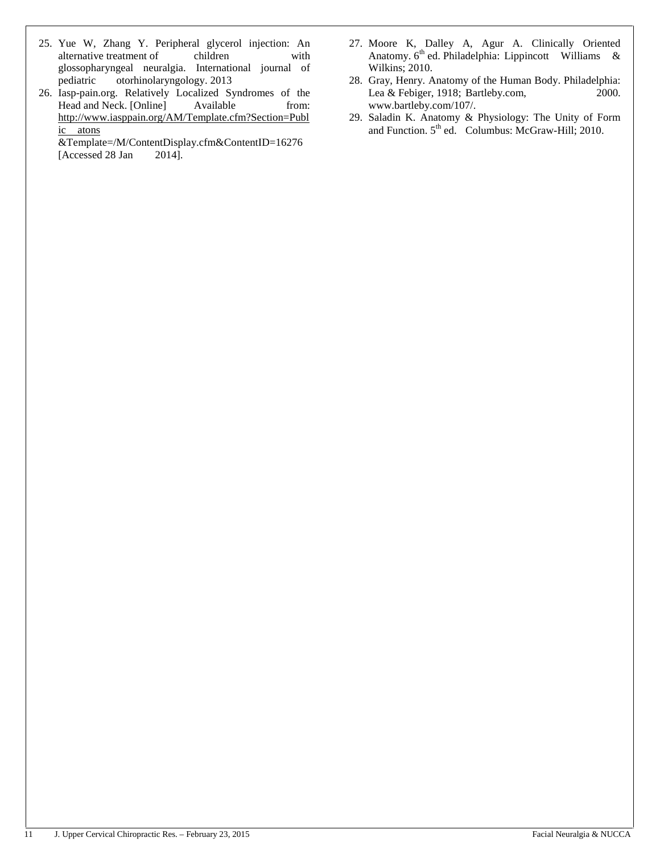- 25. Yue W, Zhang Y. Peripheral glycerol injection: An alternative treatment of children with glossopharyngeal neuralgia. International journal of pediatric otorhinolaryngology. 2013
- 26. Iasp-pain.org. Relatively Localized Syndromes of the Head and Neck. [Online] Available from: http://www.iasppain.org/AM/Template.cfm?Section=Publ ic atons

&Template=/M/ContentDisplay.cfm&ContentID=16276 [Accessed 28 Jan 2014].

- 27. Moore K, Dalley A, Agur A. Clinically Oriented Anatomy.  $6<sup>th</sup>$  ed. Philadelphia: Lippincott Williams & Wilkins; 2010.
- 28. Gray, Henry. Anatomy of the Human Body. Philadelphia: Lea & Febiger, 1918; Bartleby.com, 2000. www.bartleby.com/107/.
- 29. Saladin K. Anatomy & Physiology: The Unity of Form and Function.  $5<sup>th</sup>$  ed. Columbus: McGraw-Hill; 2010.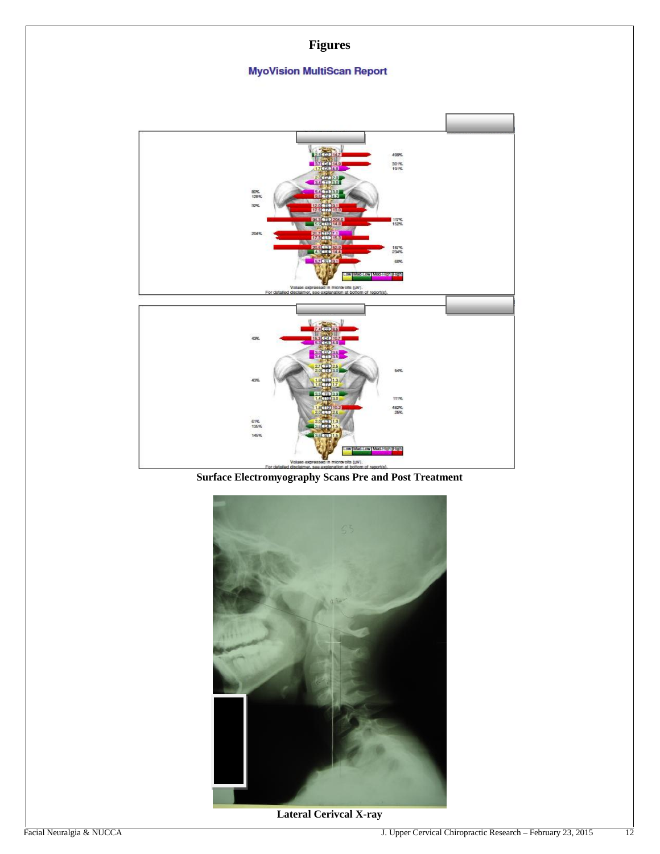### **Figures**

### **MyoVision MultiScan Report**



**Surface Electromyography Scans Pre and Post Treatment**



**Lateral Cerivcal X-ray**